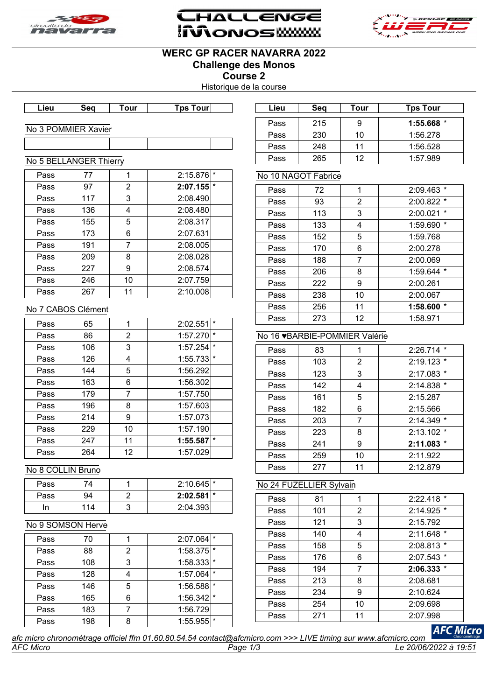





# **WERC GP RACER NAVARRA 2022 Challenge des Monos**

**Course 2**

Historique de la course

| Lieu | Seα | <b>our</b> | Tps i<br>Tourl |  |
|------|-----|------------|----------------|--|

#### No 3 POMMIER Xavier

|      | No 5 BELLANGER Thierry |    |                     |
|------|------------------------|----|---------------------|
|      |                        |    |                     |
| Pass | 77                     | 1  | $\star$<br>2:15.876 |
| Pass | 97                     | 2  | $\star$<br>2:07.155 |
| Pass | 117                    | 3  | 2:08.490            |
| Pass | 136                    | 4  | 2:08.480            |
| Pass | 155                    | 5  | 2:08.317            |
| Pass | 173                    | 6  | 2:07.631            |
| Pass | 191                    | 7  | 2:08.005            |
| Pass | 209                    | 8  | 2:08.028            |
| Pass | 227                    | 9  | 2:08.574            |
| Daee | つんに                    | 1∩ | 2.07.750            |

| Lieu | Sea                  | Tour | Tps Tour | Lieu | Sea | Tour | <b>Tps Tour</b>         |  |
|------|----------------------|------|----------|------|-----|------|-------------------------|--|
|      |                      |      |          | Pass | 215 |      | $1:55.668$ <sup>*</sup> |  |
|      | 3 POMMIER Xavier     |      |          | Pass | 230 | 10   | 1:56.278                |  |
|      |                      |      |          | Pass | 248 | 11   | 1:56.528                |  |
|      | 5 RFLI ANGER Thierry |      |          | Pass | 265 | 12   | 1:57.989                |  |

#### No 10 NAGOT Fabrice

| Pass | 72  | 1  | 2:09.463 | *       |
|------|-----|----|----------|---------|
| Pass | 93  | 2  | 2:00.822 | $\star$ |
| Pass | 113 | 3  | 2:00.021 | $\star$ |
| Pass | 133 | 4  | 1:59.690 | $\star$ |
| Pass | 152 | 5  | 1:59.768 |         |
| Pass | 170 | 6  | 2:00.278 |         |
| Pass | 188 | 7  | 2:00.069 |         |
| Pass | 206 | 8  | 1:59.644 | $\star$ |
| Pass | 222 | 9  | 2:00.261 |         |
| Pass | 238 | 10 | 2:00.067 |         |
| Pass | 256 | 11 | 1:58.600 | $\star$ |
| Pass | 273 | 12 | 1:58.971 |         |

# No 16 ♥BARBIE-POMMIER Valérie

| Pass | 83  |    | 2:26.714            |  |
|------|-----|----|---------------------|--|
| Pass | 103 | 2  | $\star$<br>2:19.123 |  |
| Pass | 123 | 3  | $\star$<br>2:17.083 |  |
| Pass | 142 | 4  | $\star$<br>2:14.838 |  |
| Pass | 161 | 5  | 2:15.287            |  |
| Pass | 182 | 6  | 2:15.566            |  |
| Pass | 203 | 7  | $\star$<br>2:14.349 |  |
| Pass | 223 | 8  | $\star$<br>2:13.102 |  |
| Pass | 241 | 9  | $\star$<br>2:11.083 |  |
| Pass | 259 | 10 | 2:11.922            |  |
| Pass | 277 | 11 | 2:12.879            |  |

### No 24 FUZELLIER Sylvain

| Pass | 81  | 1  | 2:22.418 | $\star$ |
|------|-----|----|----------|---------|
| Pass | 101 | 2  | 2:14.925 | $\star$ |
| Pass | 121 | 3  | 2:15.792 |         |
| Pass | 140 | 4  | 2:11.648 | $\star$ |
| Pass | 158 | 5  | 2:08.813 | $\star$ |
| Pass | 176 | 6  | 2:07.543 | $\star$ |
| Pass | 194 | 7  | 2:06.333 | $\star$ |
| Pass | 213 | 8  | 2:08.681 |         |
| Pass | 234 | 9  | 2:10.624 |         |
| Pass | 254 | 10 | 2:09.698 |         |
| Pass | 271 | 11 | 2:07.998 |         |
|      |     |    |          |         |

#### *AFC Micro Page 1/3 Le 20/06/2022 à 19:51 afc micro chronométrage officiel ffm 01.60.80.54.54 contact@afcmicro.com >>> LIVE timing sur www.afcmicro.com*

# 46 | 10 | 2:07.759 Pass | 267 | 11 | 2:10.008 No 7 CABOS Clément Pass 65 1 1 2:02.551 Pass 86 2 1:57.270 Pass 106 3 1:57.254 Pass 126 4 1:55.733

| Pass | 144 | 5  | 1:56.292 |  |
|------|-----|----|----------|--|
| Pass | 163 | 6  | 1:56.302 |  |
| Pass | 179 |    | 1:57.750 |  |
| Pass | 196 | 8  | 1:57.603 |  |
| Pass | 214 | 9  | 1:57.073 |  |
| Pass | 229 | 10 | 1:57.190 |  |
| Pass | 247 | 11 | 1:55.587 |  |
| Pass | 264 | 12 | 1:57.029 |  |

## No 8 COLLIN Bruno

| Pass |    | $2:10.645$ <sup>*</sup> |  |
|------|----|-------------------------|--|
| Pass | 94 | $2:02.581$ <sup>*</sup> |  |
|      | 14 | 2:04.393                |  |

#### No 9 SOMSON Herve

| Pass | 70  |     | 2:07.064                | $\star$ |
|------|-----|-----|-------------------------|---------|
| Pass | 88  | 2   | $1:58.375$ <sup>*</sup> |         |
| Pass | 108 | 3   | $1:58.333$ <sup>*</sup> |         |
| Pass | 128 |     | 1:57.064                |         |
| Pass | 146 | 5   | $1:56.588$ <sup>*</sup> |         |
| Pass | 165 | ี่ค | $1:56.342$ <sup>*</sup> |         |
| Pass | 183 |     | 1:56.729                |         |
| Pass | 198 |     | 1:55.955                |         |

**AFC Micro**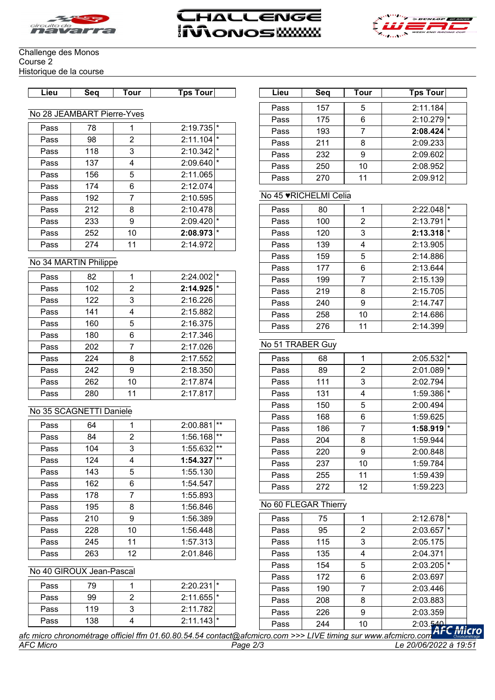





#### Challenge des Monos Course 2 Historique de la course

| ∟ieu | Sea | our | , our<br>`DS | .ieu | Seo | . our | our<br><b>DS</b> |
|------|-----|-----|--------------|------|-----|-------|------------------|
|      |     |     |              |      |     |       |                  |

#### No 28 JEAMBART Pierre-Yves

| Pass | 78  |    | 2:19.735                |
|------|-----|----|-------------------------|
| Pass | 98  | 2  | $2:11.104$ <sup>*</sup> |
| Pass | 118 | 3  | $2:10.342$ <sup>*</sup> |
| Pass | 137 | 4  | 2:09.640<br>$\star$     |
| Pass | 156 | 5  | 2:11.065                |
| Pass | 174 | 6  | 2:12.074                |
| Pass | 192 | 7  | 2:10.595                |
| Pass | 212 | 8  | 2:10.478                |
| Pass | 233 | 9  | $\star$<br>2:09.420     |
| Pass | 252 | 10 | I∗<br>2:08.973          |
| Pass | 274 | 11 | 2:14.972                |

#### No 34 MARTIN Philippe

| Pass | 82  | 1              | 2:24.002 |  |
|------|-----|----------------|----------|--|
| Pass | 102 | $\overline{2}$ | 2:14.925 |  |
| Pass | 122 | 3              | 2:16.226 |  |
| Pass | 141 | 4              | 2:15.882 |  |
| Pass | 160 | 5              | 2:16.375 |  |
| Pass | 180 | 6              | 2:17.346 |  |
| Pass | 202 | 7              | 2:17.026 |  |
| Pass | 224 | 8              | 2:17.552 |  |
| Pass | 242 | 9              | 2:18.350 |  |
| Pass | 262 | 10             | 2:17.874 |  |
| Pass | 280 | 11             | 2:17.817 |  |

# No 35 SCAGNETTI Daniele

| Pass | 64  | 1              | 2:00.881 | $***$ |
|------|-----|----------------|----------|-------|
| Pass | 84  | $\overline{2}$ | 1:56.168 | $***$ |
| Pass | 104 | 3              | 1:55.632 | $***$ |
| Pass | 124 | 4              | 1:54.327 | $***$ |
| Pass | 143 | 5              | 1:55.130 |       |
| Pass | 162 | 6              | 1:54.547 |       |
| Pass | 178 | 7              | 1:55.893 |       |
| Pass | 195 | 8              | 1:56.846 |       |
| Pass | 210 | 9              | 1:56.389 |       |
| Pass | 228 | 10             | 1:56.448 |       |
| Pass | 245 | 11             | 1:57.313 |       |
| Pass | 263 | 12             | 2:01.846 |       |

#### No 40 GIROUX Jean-Pascal

| Pass | 79  | $2:20.231$ <sup>*</sup> |
|------|-----|-------------------------|
| Pass | 99  | $2:11.655$ <sup>*</sup> |
| Pass | 119 | 2:11.782                |
| Pass | 138 | $2:11.143$ <sup>*</sup> |

| Lieu | Seq | Tour | <b>Tps Tour</b> |
|------|-----|------|-----------------|
|      |     |      | 2:11.184        |
| Pass | 157 | 5    |                 |
| Pass | 175 | 6    | 2:10.279        |
| Pass | 193 |      | 2:08.424        |
| Pass | 211 | 8    | 2:09.233        |
| Pass | 232 | g    | 2:09.602        |
| Pass | 250 | 10   | 2:08.952        |
| Pass | 270 |      | 2:09.912        |

## No 45 ♥RICHELMI Celia

| Pass | 80  |    | 2:22.048<br>$\star$ |
|------|-----|----|---------------------|
| Pass | 100 | 2  | $\star$<br>2:13.791 |
| Pass | 120 | 3  | $\star$<br>2:13.318 |
| Pass | 139 | 4  | 2:13.905            |
| Pass | 159 | 5  | 2:14.886            |
| Pass | 177 | 6  | 2:13.644            |
| Pass | 199 | 7  | 2:15.139            |
| Pass | 219 | 8  | 2:15.705            |
| Pass | 240 | 9  | 2:14.747            |
| Pass | 258 | 10 | 2:14.686            |
| Pass | 276 | 11 | 2:14.399            |

# No 51 TRABER Guy

| Pass | 68  | 1              | 2:05.532                |
|------|-----|----------------|-------------------------|
| Pass | 89  | $\overline{2}$ | $\star$<br>2:01.089     |
| Pass | 111 | 3              | 2:02.794                |
| Pass | 131 | 4              | $1:59.386$ <sup>*</sup> |
| Pass | 150 | 5              | 2:00.494                |
| Pass | 168 | 6              | 1:59.625                |
| Pass | 186 | 7              | $\star$<br>1:58.919     |
| Pass | 204 | 8              | 1:59.944                |
| Pass | 220 | 9              | 2:00.848                |
| Pass | 237 | 10             | 1:59.784                |
| Pass | 255 | 11             | 1:59.439                |
| Pass | 272 | 12             | 1:59.223                |

#### No 60 FLEGAR Thierry

| Pass | 75  |    | $\star$<br>2:12.678     |
|------|-----|----|-------------------------|
| Pass | 95  | 2  | $2:03.657$ <sup>*</sup> |
| Pass | 115 | 3  | 2:05.175                |
| Pass | 135 | 4  | 2:04.371                |
| Pass | 154 | 5  | $2:03.205$ <sup>*</sup> |
| Pass | 172 | 6  | 2:03.697                |
| Pass | 190 | 7  | 2:03.446                |
| Pass | 208 | 8  | 2:03.883                |
| Pass | 226 | 9  | 2:03.359                |
| Pass | 244 | 10 | 2:03.540                |

*AFC Micro Page 2/3 Le 20/06/2022 à 19:51 afc micro chronométrage officiel ffm 01.60.80.54.54 contact@afcmicro.com >>> LIVE timing sur www.afcmicro.com*